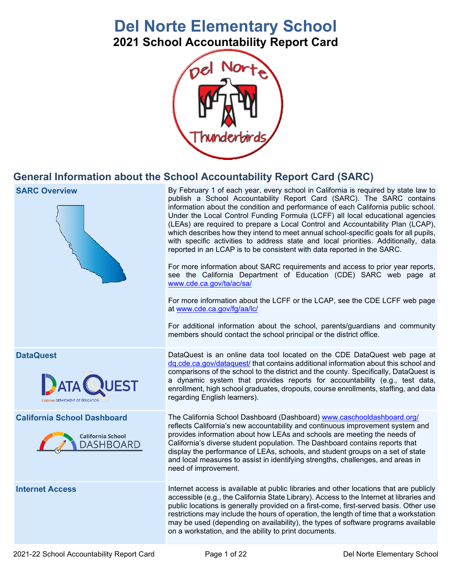# **Del Norte Elementary School**

**2021 School Accountability Report Card**



## **General Information about the School Accountability Report Card (SARC)**

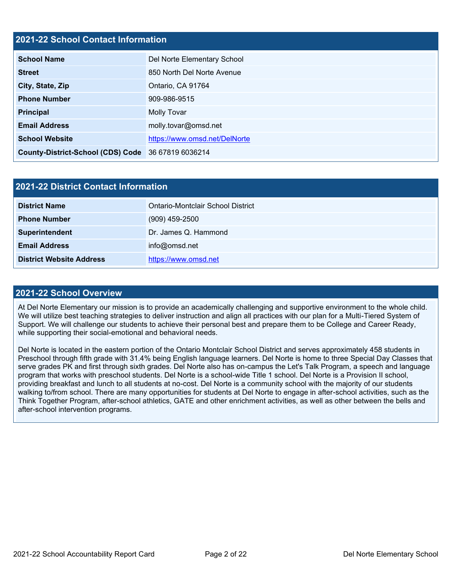### **2021-22 School Contact Information**

| <b>School Name</b>                                 | Del Norte Elementary School   |  |  |  |
|----------------------------------------------------|-------------------------------|--|--|--|
| <b>Street</b>                                      | 850 North Del Norte Avenue    |  |  |  |
| City, State, Zip                                   | Ontario, CA 91764             |  |  |  |
| <b>Phone Number</b>                                | 909-986-9515                  |  |  |  |
| <b>Principal</b>                                   | Molly Tovar                   |  |  |  |
| <b>Email Address</b>                               | molly.tovar@omsd.net          |  |  |  |
| <b>School Website</b>                              | https://www.omsd.net/DelNorte |  |  |  |
| County-District-School (CDS) Code 36 67819 6036214 |                               |  |  |  |

| 2021-22 District Contact Information |                                   |  |  |  |
|--------------------------------------|-----------------------------------|--|--|--|
| <b>District Name</b>                 | Ontario-Montclair School District |  |  |  |
| <b>Phone Number</b>                  | $(909)$ 459-2500                  |  |  |  |
| Superintendent                       | Dr. James Q. Hammond              |  |  |  |
| <b>Email Address</b>                 | info@omsd.net                     |  |  |  |
| <b>District Website Address</b>      | https://www.omsd.net              |  |  |  |

### **2021-22 School Overview**

At Del Norte Elementary our mission is to provide an academically challenging and supportive environment to the whole child. We will utilize best teaching strategies to deliver instruction and align all practices with our plan for a Multi-Tiered System of Support. We will challenge our students to achieve their personal best and prepare them to be College and Career Ready, while supporting their social-emotional and behavioral needs.

Del Norte is located in the eastern portion of the Ontario Montclair School District and serves approximately 458 students in Preschool through fifth grade with 31.4% being English language learners. Del Norte is home to three Special Day Classes that serve grades PK and first through sixth grades. Del Norte also has on-campus the Let's Talk Program, a speech and language program that works with preschool students. Del Norte is a school-wide Title 1 school. Del Norte is a Provision II school, providing breakfast and lunch to all students at no-cost. Del Norte is a community school with the majority of our students walking to/from school. There are many opportunities for students at Del Norte to engage in after-school activities, such as the Think Together Program, after-school athletics, GATE and other enrichment activities, as well as other between the bells and after-school intervention programs.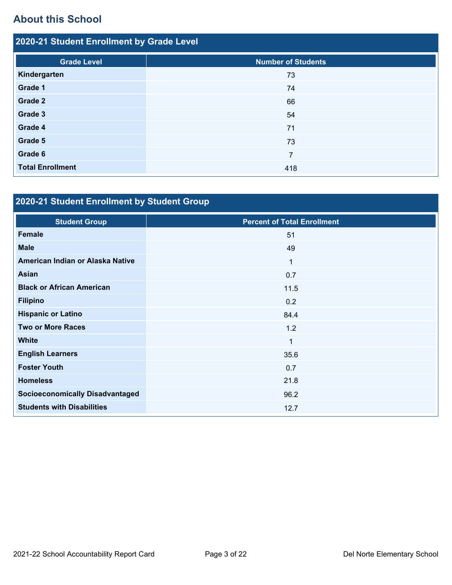# **About this School**

| 2020-21 Student Enrollment by Grade Level |                           |  |  |  |  |
|-------------------------------------------|---------------------------|--|--|--|--|
| <b>Grade Level</b>                        | <b>Number of Students</b> |  |  |  |  |
| Kindergarten                              | 73                        |  |  |  |  |
| Grade 1                                   | 74                        |  |  |  |  |
| Grade 2                                   | 66                        |  |  |  |  |
| Grade 3                                   | 54                        |  |  |  |  |
| Grade 4                                   | 71                        |  |  |  |  |
| Grade 5                                   | 73                        |  |  |  |  |
| Grade 6                                   | 7                         |  |  |  |  |
| <b>Total Enrollment</b>                   | 418                       |  |  |  |  |

# **2020-21 Student Enrollment by Student Group**

| <b>Student Group</b>                   | <b>Percent of Total Enrollment</b> |
|----------------------------------------|------------------------------------|
| <b>Female</b>                          | 51                                 |
| <b>Male</b>                            | 49                                 |
| American Indian or Alaska Native       | 1                                  |
| Asian                                  | 0.7                                |
| <b>Black or African American</b>       | 11.5                               |
| <b>Filipino</b>                        | 0.2                                |
| <b>Hispanic or Latino</b>              | 84.4                               |
| <b>Two or More Races</b>               | 1.2                                |
| <b>White</b>                           | $\overline{1}$                     |
| <b>English Learners</b>                | 35.6                               |
| <b>Foster Youth</b>                    | 0.7                                |
| <b>Homeless</b>                        | 21.8                               |
| <b>Socioeconomically Disadvantaged</b> | 96.2                               |
| <b>Students with Disabilities</b>      | 12.7                               |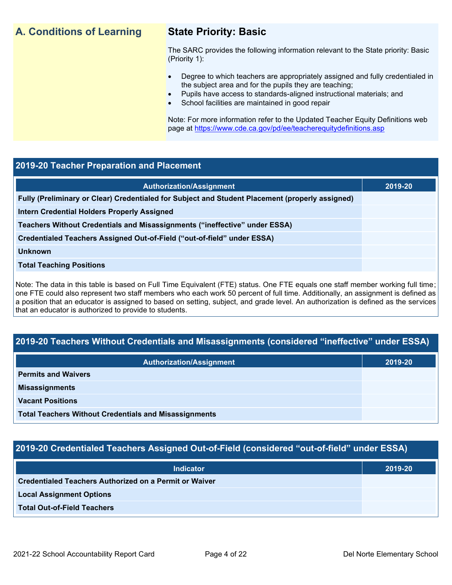## **A. Conditions of Learning State Priority: Basic**

The SARC provides the following information relevant to the State priority: Basic (Priority 1):

- Degree to which teachers are appropriately assigned and fully credentialed in the subject area and for the pupils they are teaching;
	- Pupils have access to standards-aligned instructional materials; and
- School facilities are maintained in good repair

Note: For more information refer to the Updated Teacher Equity Definitions web page at<https://www.cde.ca.gov/pd/ee/teacherequitydefinitions.asp>

### **2019-20 Teacher Preparation and Placement**

| <b>Authorization/Assignment</b>                                                                 | 2019-20 |
|-------------------------------------------------------------------------------------------------|---------|
| Fully (Preliminary or Clear) Credentialed for Subject and Student Placement (properly assigned) |         |
| Intern Credential Holders Properly Assigned                                                     |         |
| Teachers Without Credentials and Misassignments ("ineffective" under ESSA)                      |         |
| Credentialed Teachers Assigned Out-of-Field ("out-of-field" under ESSA)                         |         |
| <b>Unknown</b>                                                                                  |         |
| <b>Total Teaching Positions</b>                                                                 |         |
|                                                                                                 |         |

Note: The data in this table is based on Full Time Equivalent (FTE) status. One FTE equals one staff member working full time; one FTE could also represent two staff members who each work 50 percent of full time. Additionally, an assignment is defined as a position that an educator is assigned to based on setting, subject, and grade level. An authorization is defined as the services that an educator is authorized to provide to students.

## **2019-20 Teachers Without Credentials and Misassignments (considered "ineffective" under ESSA)**

| <b>Authorization/Assignment</b>                              | 2019-20 |
|--------------------------------------------------------------|---------|
| <b>Permits and Waivers</b>                                   |         |
| <b>Misassignments</b>                                        |         |
| <b>Vacant Positions</b>                                      |         |
| <b>Total Teachers Without Credentials and Misassignments</b> |         |

## **2019-20 Credentialed Teachers Assigned Out-of-Field (considered "out-of-field" under ESSA)**

| <b>Indicator</b>                                       | 2019-20 |
|--------------------------------------------------------|---------|
| Credentialed Teachers Authorized on a Permit or Waiver |         |
| <b>Local Assignment Options</b>                        |         |
| <b>Total Out-of-Field Teachers</b>                     |         |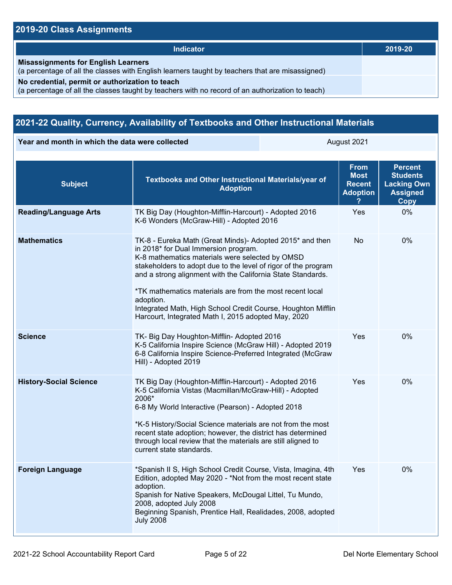## **2019-20 Class Assignments**

| <b>Indicator</b>                                                                                                                                    | 2019-20 |
|-----------------------------------------------------------------------------------------------------------------------------------------------------|---------|
| <b>Misassignments for English Learners</b><br>(a percentage of all the classes with English learners taught by teachers that are misassigned)       |         |
| No credential, permit or authorization to teach<br>(a percentage of all the classes taught by teachers with no record of an authorization to teach) |         |

## **2021-22 Quality, Currency, Availability of Textbooks and Other Instructional Materials**

**Year and month in which the data were collected August 2021** August 2021

| <b>Subject</b>                | Textbooks and Other Instructional Materials/year of<br><b>Adoption</b>                                                                                                                                                                                                                                                                                                                                                                                                               | <b>From</b><br><b>Most</b><br><b>Recent</b><br><b>Adoption</b> | <b>Percent</b><br><b>Students</b><br><b>Lacking Own</b><br><b>Assigned</b><br><b>Copy</b> |
|-------------------------------|--------------------------------------------------------------------------------------------------------------------------------------------------------------------------------------------------------------------------------------------------------------------------------------------------------------------------------------------------------------------------------------------------------------------------------------------------------------------------------------|----------------------------------------------------------------|-------------------------------------------------------------------------------------------|
| <b>Reading/Language Arts</b>  | TK Big Day (Houghton-Mifflin-Harcourt) - Adopted 2016<br>K-6 Wonders (McGraw-Hill) - Adopted 2016                                                                                                                                                                                                                                                                                                                                                                                    | Yes                                                            | 0%                                                                                        |
| <b>Mathematics</b>            | TK-8 - Eureka Math (Great Minds)- Adopted 2015* and then<br>in 2018* for Dual Immersion program.<br>K-8 mathematics materials were selected by OMSD<br>stakeholders to adopt due to the level of rigor of the program<br>and a strong alignment with the California State Standards.<br>*TK mathematics materials are from the most recent local<br>adoption.<br>Integrated Math, High School Credit Course, Houghton Mifflin<br>Harcourt, Integrated Math I, 2015 adopted May, 2020 | <b>No</b>                                                      | $0\%$                                                                                     |
| <b>Science</b>                | TK- Big Day Houghton-Mifflin- Adopted 2016<br>K-5 California Inspire Science (McGraw Hill) - Adopted 2019<br>6-8 California Inspire Science-Preferred Integrated (McGraw<br>Hill) - Adopted 2019                                                                                                                                                                                                                                                                                     | Yes                                                            | 0%                                                                                        |
| <b>History-Social Science</b> | TK Big Day (Houghton-Mifflin-Harcourt) - Adopted 2016<br>K-5 California Vistas (Macmillan/McGraw-Hill) - Adopted<br>2006*<br>6-8 My World Interactive (Pearson) - Adopted 2018<br>*K-5 History/Social Science materials are not from the most<br>recent state adoption; however, the district has determined<br>through local review that the materials are still aligned to<br>current state standards.                                                                             | Yes                                                            | $0\%$                                                                                     |
| <b>Foreign Language</b>       | *Spanish II S, High School Credit Course, Vista, Imagina, 4th<br>Edition, adopted May 2020 - *Not from the most recent state<br>adoption.<br>Spanish for Native Speakers, McDougal Littel, Tu Mundo,<br>2008, adopted July 2008<br>Beginning Spanish, Prentice Hall, Realidades, 2008, adopted<br><b>July 2008</b>                                                                                                                                                                   | Yes                                                            | 0%                                                                                        |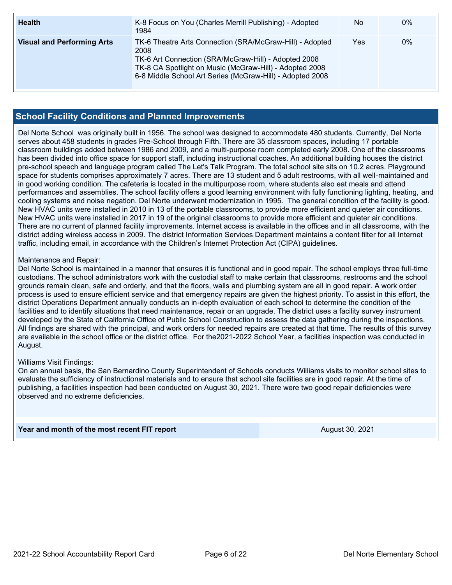| <b>Health</b>                     | K-8 Focus on You (Charles Merrill Publishing) - Adopted<br>1984                                                                                                                                                                                  | No. | $0\%$ |
|-----------------------------------|--------------------------------------------------------------------------------------------------------------------------------------------------------------------------------------------------------------------------------------------------|-----|-------|
| <b>Visual and Performing Arts</b> | TK-6 Theatre Arts Connection (SRA/McGraw-Hill) - Adopted<br>2008<br>TK-6 Art Connection (SRA/McGraw-Hill) - Adopted 2008<br>TK-8 CA Spotlight on Music (McGraw-Hill) - Adopted 2008<br>6-8 Middle School Art Series (McGraw-Hill) - Adopted 2008 | Yes | 0%    |

### **School Facility Conditions and Planned Improvements**

Del Norte School was originally built in 1956. The school was designed to accommodate 480 students. Currently, Del Norte serves about 458 students in grades Pre-School through Fifth. There are 35 classroom spaces, including 17 portable classroom buildings added between 1986 and 2009, and a multi-purpose room completed early 2008. One of the classrooms has been divided into office space for support staff, including instructional coaches. An additional building houses the district pre-school speech and language program called The Let's Talk Program. The total school site sits on 10.2 acres. Playground space for students comprises approximately 7 acres. There are 13 student and 5 adult restrooms, with all well-maintained and in good working condition. The cafeteria is located in the multipurpose room, where students also eat meals and attend performances and assemblies. The school facility offers a good learning environment with fully functioning lighting, heating, and cooling systems and noise negation. Del Norte underwent modernization in 1995. The general condition of the facility is good. New HVAC units were installed in 2010 in 13 of the portable classrooms, to provide more efficient and quieter air conditions. New HVAC units were installed in 2017 in 19 of the original classrooms to provide more efficient and quieter air conditions. There are no current of planned facility improvements. Internet access is available in the offices and in all classrooms, with the district adding wireless access in 2009. The district Information Services Department maintains a content filter for all Internet traffic, including email, in accordance with the Children's Internet Protection Act (CIPA) guidelines.

### Maintenance and Repair:

Del Norte School is maintained in a manner that ensures it is functional and in good repair. The school employs three full-time custodians. The school administrators work with the custodial staff to make certain that classrooms, restrooms and the school grounds remain clean, safe and orderly, and that the floors, walls and plumbing system are all in good repair. A work order process is used to ensure efficient service and that emergency repairs are given the highest priority. To assist in this effort, the district Operations Department annually conducts an in-depth evaluation of each school to determine the condition of the facilities and to identify situations that need maintenance, repair or an upgrade. The district uses a facility survey instrument developed by the State of California Office of Public School Construction to assess the data gathering during the inspections. All findings are shared with the principal, and work orders for needed repairs are created at that time. The results of this survey are available in the school office or the district office. For the2021-2022 School Year, a facilities inspection was conducted in August.

### Williams Visit Findings:

On an annual basis, the San Bernardino County Superintendent of Schools conducts Williams visits to monitor school sites to evaluate the sufficiency of instructional materials and to ensure that school site facilities are in good repair. At the time of publishing, a facilities inspection had been conducted on August 30, 2021. There were two good repair deficiencies were observed and no extreme deficiencies.

**Year and month of the most recent FIT report** August 30, 2021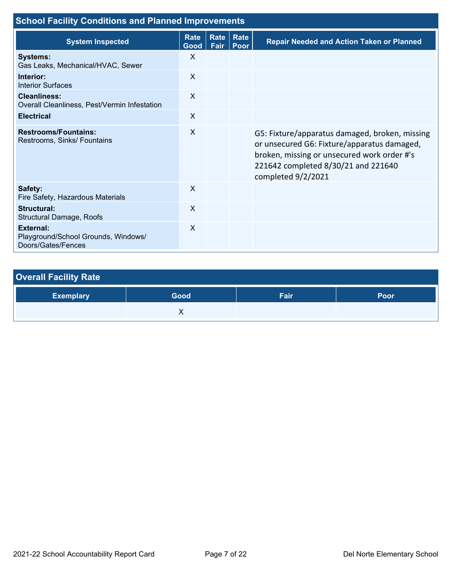| <b>School Facility Conditions and Planned Improvements</b>                    |                     |              |              |                                                                                                                                                                                                           |  |
|-------------------------------------------------------------------------------|---------------------|--------------|--------------|-----------------------------------------------------------------------------------------------------------------------------------------------------------------------------------------------------------|--|
| <b>System Inspected</b>                                                       | <b>Rate</b><br>Good | Rate<br>Fair | Rate<br>Poor | <b>Repair Needed and Action Taken or Planned</b>                                                                                                                                                          |  |
| <b>Systems:</b><br>Gas Leaks, Mechanical/HVAC, Sewer                          | $\mathsf{X}$        |              |              |                                                                                                                                                                                                           |  |
| Interior:<br><b>Interior Surfaces</b>                                         | X                   |              |              |                                                                                                                                                                                                           |  |
| Cleanliness:<br>Overall Cleanliness, Pest/Vermin Infestation                  | $\mathsf{x}$        |              |              |                                                                                                                                                                                                           |  |
| <b>Electrical</b>                                                             | $\sf X$             |              |              |                                                                                                                                                                                                           |  |
| <b>Restrooms/Fountains:</b><br>Restrooms, Sinks/ Fountains                    | $\sf X$             |              |              | G5: Fixture/apparatus damaged, broken, missing<br>or unsecured G6: Fixture/apparatus damaged,<br>broken, missing or unsecured work order #'s<br>221642 completed 8/30/21 and 221640<br>completed 9/2/2021 |  |
| Safety:<br>Fire Safety, Hazardous Materials                                   | $\sf X$             |              |              |                                                                                                                                                                                                           |  |
| <b>Structural:</b><br>Structural Damage, Roofs                                | $\sf X$             |              |              |                                                                                                                                                                                                           |  |
| <b>External:</b><br>Playground/School Grounds, Windows/<br>Doors/Gates/Fences | $\sf X$             |              |              |                                                                                                                                                                                                           |  |

| <b>Overall Facility Rate</b> |      |      |      |  |  |  |
|------------------------------|------|------|------|--|--|--|
| <b>Exemplary</b>             | Good | Fair | Poor |  |  |  |
|                              | ↗    |      |      |  |  |  |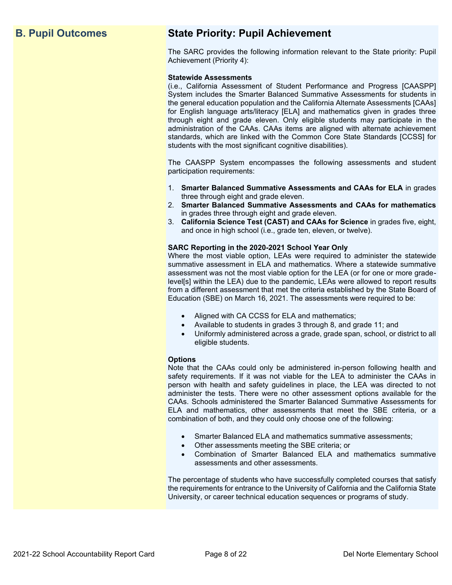## **B. Pupil Outcomes State Priority: Pupil Achievement**

The SARC provides the following information relevant to the State priority: Pupil Achievement (Priority 4):

### **Statewide Assessments**

(i.e., California Assessment of Student Performance and Progress [CAASPP] System includes the Smarter Balanced Summative Assessments for students in the general education population and the California Alternate Assessments [CAAs] for English language arts/literacy [ELA] and mathematics given in grades three through eight and grade eleven. Only eligible students may participate in the administration of the CAAs. CAAs items are aligned with alternate achievement standards, which are linked with the Common Core State Standards [CCSS] for students with the most significant cognitive disabilities).

The CAASPP System encompasses the following assessments and student participation requirements:

- 1. **Smarter Balanced Summative Assessments and CAAs for ELA** in grades three through eight and grade eleven.
- 2. **Smarter Balanced Summative Assessments and CAAs for mathematics** in grades three through eight and grade eleven.
- 3. **California Science Test (CAST) and CAAs for Science** in grades five, eight, and once in high school (i.e., grade ten, eleven, or twelve).

### **SARC Reporting in the 2020-2021 School Year Only**

Where the most viable option, LEAs were required to administer the statewide summative assessment in ELA and mathematics. Where a statewide summative assessment was not the most viable option for the LEA (or for one or more gradelevel[s] within the LEA) due to the pandemic, LEAs were allowed to report results from a different assessment that met the criteria established by the State Board of Education (SBE) on March 16, 2021. The assessments were required to be:

- Aligned with CA CCSS for ELA and mathematics;
- Available to students in grades 3 through 8, and grade 11; and
- Uniformly administered across a grade, grade span, school, or district to all eligible students.

### **Options**

Note that the CAAs could only be administered in-person following health and safety requirements. If it was not viable for the LEA to administer the CAAs in person with health and safety guidelines in place, the LEA was directed to not administer the tests. There were no other assessment options available for the CAAs. Schools administered the Smarter Balanced Summative Assessments for ELA and mathematics, other assessments that meet the SBE criteria, or a combination of both, and they could only choose one of the following:

- Smarter Balanced ELA and mathematics summative assessments;
- Other assessments meeting the SBE criteria; or
- Combination of Smarter Balanced ELA and mathematics summative assessments and other assessments.

The percentage of students who have successfully completed courses that satisfy the requirements for entrance to the University of California and the California State University, or career technical education sequences or programs of study.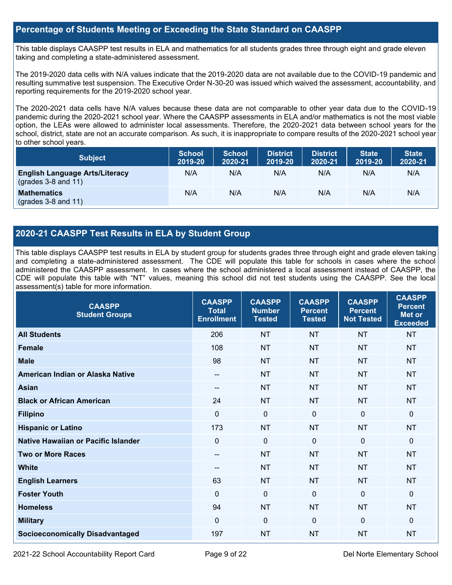### **Percentage of Students Meeting or Exceeding the State Standard on CAASPP**

This table displays CAASPP test results in ELA and mathematics for all students grades three through eight and grade eleven taking and completing a state-administered assessment.

The 2019-2020 data cells with N/A values indicate that the 2019-2020 data are not available due to the COVID-19 pandemic and resulting summative test suspension. The Executive Order N-30-20 was issued which waived the assessment, accountability, and reporting requirements for the 2019-2020 school year.

The 2020-2021 data cells have N/A values because these data are not comparable to other year data due to the COVID-19 pandemic during the 2020-2021 school year. Where the CAASPP assessments in ELA and/or mathematics is not the most viable option, the LEAs were allowed to administer local assessments. Therefore, the 2020-2021 data between school years for the school, district, state are not an accurate comparison. As such, it is inappropriate to compare results of the 2020-2021 school year to other school years.

| <b>Subject</b>                                                       | <b>School</b><br>2019-20 | <b>School</b><br>2020-21 | <b>District</b><br>2019-20 | <b>District</b><br>2020-21 | <b>State</b><br>2019-20 | <b>State</b><br>2020-21 |
|----------------------------------------------------------------------|--------------------------|--------------------------|----------------------------|----------------------------|-------------------------|-------------------------|
| <b>English Language Arts/Literacy</b><br>$\left($ grades 3-8 and 11) | N/A                      | N/A                      | N/A                        | N/A                        | N/A                     | N/A                     |
| <b>Mathematics</b><br>$(grades 3-8 and 11)$                          | N/A                      | N/A                      | N/A                        | N/A                        | N/A                     | N/A                     |

## **2020-21 CAASPP Test Results in ELA by Student Group**

This table displays CAASPP test results in ELA by student group for students grades three through eight and grade eleven taking and completing a state-administered assessment. The CDE will populate this table for schools in cases where the school administered the CAASPP assessment. In cases where the school administered a local assessment instead of CAASPP, the CDE will populate this table with "NT" values, meaning this school did not test students using the CAASPP. See the local assessment(s) table for more information.

| <b>CAASPP</b><br><b>Student Groups</b> | <b>CAASPP</b><br><b>Total</b><br><b>Enrollment</b> | <b>CAASPP</b><br><b>Number</b><br><b>Tested</b> | <b>CAASPP</b><br><b>Percent</b><br><b>Tested</b> | <b>CAASPP</b><br><b>Percent</b><br><b>Not Tested</b> | <b>CAASPP</b><br><b>Percent</b><br>Met or<br><b>Exceeded</b> |
|----------------------------------------|----------------------------------------------------|-------------------------------------------------|--------------------------------------------------|------------------------------------------------------|--------------------------------------------------------------|
| <b>All Students</b>                    | 206                                                | <b>NT</b>                                       | <b>NT</b>                                        | <b>NT</b>                                            | <b>NT</b>                                                    |
| <b>Female</b>                          | 108                                                | <b>NT</b>                                       | <b>NT</b>                                        | <b>NT</b>                                            | <b>NT</b>                                                    |
| <b>Male</b>                            | 98                                                 | <b>NT</b>                                       | <b>NT</b>                                        | <b>NT</b>                                            | <b>NT</b>                                                    |
| American Indian or Alaska Native       | --                                                 | <b>NT</b>                                       | <b>NT</b>                                        | <b>NT</b>                                            | <b>NT</b>                                                    |
| <b>Asian</b>                           |                                                    | <b>NT</b>                                       | <b>NT</b>                                        | <b>NT</b>                                            | <b>NT</b>                                                    |
| <b>Black or African American</b>       | 24                                                 | <b>NT</b>                                       | <b>NT</b>                                        | <b>NT</b>                                            | <b>NT</b>                                                    |
| <b>Filipino</b>                        | $\mathbf 0$                                        | $\mathbf 0$                                     | $\mathbf 0$                                      | $\overline{0}$                                       | $\mathbf 0$                                                  |
| <b>Hispanic or Latino</b>              | 173                                                | <b>NT</b>                                       | <b>NT</b>                                        | <b>NT</b>                                            | <b>NT</b>                                                    |
| Native Hawaiian or Pacific Islander    | $\mathbf 0$                                        | $\mathbf 0$                                     | $\mathbf 0$                                      | $\mathbf 0$                                          | 0                                                            |
| <b>Two or More Races</b>               | --                                                 | <b>NT</b>                                       | <b>NT</b>                                        | <b>NT</b>                                            | <b>NT</b>                                                    |
| <b>White</b>                           | --                                                 | <b>NT</b>                                       | <b>NT</b>                                        | <b>NT</b>                                            | <b>NT</b>                                                    |
| <b>English Learners</b>                | 63                                                 | <b>NT</b>                                       | <b>NT</b>                                        | <b>NT</b>                                            | <b>NT</b>                                                    |
| <b>Foster Youth</b>                    | $\mathbf 0$                                        | $\mathbf 0$                                     | $\Omega$                                         | $\mathbf 0$                                          | $\mathbf 0$                                                  |
| <b>Homeless</b>                        | 94                                                 | <b>NT</b>                                       | <b>NT</b>                                        | <b>NT</b>                                            | <b>NT</b>                                                    |
| <b>Military</b>                        | $\Omega$                                           | $\mathbf 0$                                     | $\mathbf 0$                                      | $\Omega$                                             | $\mathbf{0}$                                                 |
| <b>Socioeconomically Disadvantaged</b> | 197                                                | <b>NT</b>                                       | <b>NT</b>                                        | <b>NT</b>                                            | <b>NT</b>                                                    |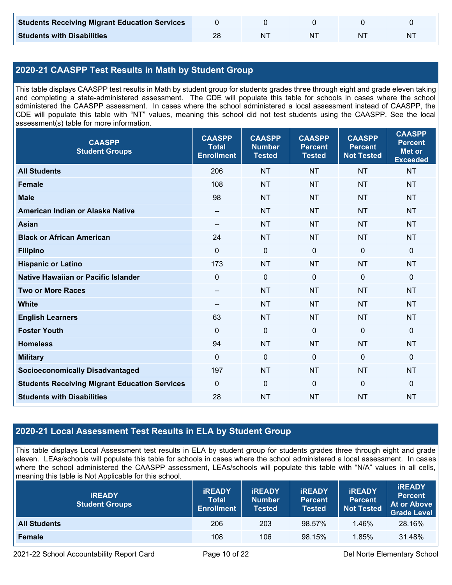| <b>Students Receiving Migrant Education Services</b> |  |    |  |
|------------------------------------------------------|--|----|--|
| <b>Students with Disabilities</b>                    |  | N. |  |

## **2020-21 CAASPP Test Results in Math by Student Group**

This table displays CAASPP test results in Math by student group for students grades three through eight and grade eleven taking and completing a state-administered assessment. The CDE will populate this table for schools in cases where the school administered the CAASPP assessment. In cases where the school administered a local assessment instead of CAASPP, the CDE will populate this table with "NT" values, meaning this school did not test students using the CAASPP. See the local assessment(s) table for more information.

| <b>CAASPP</b><br><b>Student Groups</b>               | <b>CAASPP</b><br><b>Total</b><br><b>Enrollment</b> | <b>CAASPP</b><br><b>Number</b><br><b>Tested</b> | <b>CAASPP</b><br><b>Percent</b><br><b>Tested</b> | <b>CAASPP</b><br><b>Percent</b><br><b>Not Tested</b> | <b>CAASPP</b><br><b>Percent</b><br><b>Met or</b><br><b>Exceeded</b> |
|------------------------------------------------------|----------------------------------------------------|-------------------------------------------------|--------------------------------------------------|------------------------------------------------------|---------------------------------------------------------------------|
| <b>All Students</b>                                  | 206                                                | <b>NT</b>                                       | <b>NT</b>                                        | <b>NT</b>                                            | <b>NT</b>                                                           |
| <b>Female</b>                                        | 108                                                | <b>NT</b>                                       | <b>NT</b>                                        | <b>NT</b>                                            | <b>NT</b>                                                           |
| <b>Male</b>                                          | 98                                                 | <b>NT</b>                                       | <b>NT</b>                                        | <b>NT</b>                                            | <b>NT</b>                                                           |
| American Indian or Alaska Native                     | $\hspace{0.05cm}$ – $\hspace{0.05cm}$              | <b>NT</b>                                       | <b>NT</b>                                        | <b>NT</b>                                            | <b>NT</b>                                                           |
| <b>Asian</b>                                         | --                                                 | <b>NT</b>                                       | <b>NT</b>                                        | <b>NT</b>                                            | <b>NT</b>                                                           |
| <b>Black or African American</b>                     | 24                                                 | <b>NT</b>                                       | <b>NT</b>                                        | <b>NT</b>                                            | <b>NT</b>                                                           |
| <b>Filipino</b>                                      | $\mathbf{0}$                                       | $\mathbf{0}$                                    | $\mathbf 0$                                      | $\mathbf{0}$                                         | $\mathbf{0}$                                                        |
| <b>Hispanic or Latino</b>                            | 173                                                | <b>NT</b>                                       | <b>NT</b>                                        | <b>NT</b>                                            | <b>NT</b>                                                           |
| <b>Native Hawaiian or Pacific Islander</b>           | $\mathbf 0$                                        | $\mathbf 0$                                     | $\mathbf 0$                                      | $\mathbf 0$                                          | $\mathbf 0$                                                         |
| <b>Two or More Races</b>                             | $\overline{\phantom{m}}$                           | <b>NT</b>                                       | <b>NT</b>                                        | <b>NT</b>                                            | <b>NT</b>                                                           |
| <b>White</b>                                         | $\overline{\phantom{m}}$                           | <b>NT</b>                                       | <b>NT</b>                                        | <b>NT</b>                                            | <b>NT</b>                                                           |
| <b>English Learners</b>                              | 63                                                 | <b>NT</b>                                       | <b>NT</b>                                        | <b>NT</b>                                            | <b>NT</b>                                                           |
| <b>Foster Youth</b>                                  | $\mathbf{0}$                                       | $\mathbf 0$                                     | $\mathbf 0$                                      | $\Omega$                                             | $\mathbf{0}$                                                        |
| <b>Homeless</b>                                      | 94                                                 | <b>NT</b>                                       | <b>NT</b>                                        | <b>NT</b>                                            | <b>NT</b>                                                           |
| <b>Military</b>                                      | $\mathbf{0}$                                       | $\mathbf 0$                                     | $\mathbf 0$                                      | $\mathbf 0$                                          | $\mathbf 0$                                                         |
| <b>Socioeconomically Disadvantaged</b>               | 197                                                | <b>NT</b>                                       | <b>NT</b>                                        | <b>NT</b>                                            | <b>NT</b>                                                           |
| <b>Students Receiving Migrant Education Services</b> | $\mathbf 0$                                        | $\mathbf 0$                                     | $\mathbf 0$                                      | $\mathbf 0$                                          | $\mathbf 0$                                                         |
| <b>Students with Disabilities</b>                    | 28                                                 | <b>NT</b>                                       | <b>NT</b>                                        | <b>NT</b>                                            | <b>NT</b>                                                           |

## **2020-21 Local Assessment Test Results in ELA by Student Group**

This table displays Local Assessment test results in ELA by student group for students grades three through eight and grade eleven. LEAs/schools will populate this table for schools in cases where the school administered a local assessment. In cases where the school administered the CAASPP assessment, LEAs/schools will populate this table with "N/A" values in all cells, meaning this table is Not Applicable for this school.

| <b>IREADY</b><br><b>Student Groups</b> | <b>IREADY</b><br><b>Total</b><br><b>Enrollment</b> | <b>IREADY</b><br><b>Number</b><br><b>Tested</b> | <b><i>IREADY</i></b><br><b>Percent</b><br><b>Tested</b> | <b>IREADY</b><br><b>Percent</b><br><b>Not Tested</b> | <b>IREADY</b><br><b>Percent</b><br>At or Above<br><b>Grade Level</b> |
|----------------------------------------|----------------------------------------------------|-------------------------------------------------|---------------------------------------------------------|------------------------------------------------------|----------------------------------------------------------------------|
| <b>All Students</b>                    | 206                                                | 203                                             | 98.57%                                                  | 1.46%                                                | 28.16%                                                               |
| Female                                 | 108                                                | 106                                             | 98.15%                                                  | 1.85%                                                | 31.48%                                                               |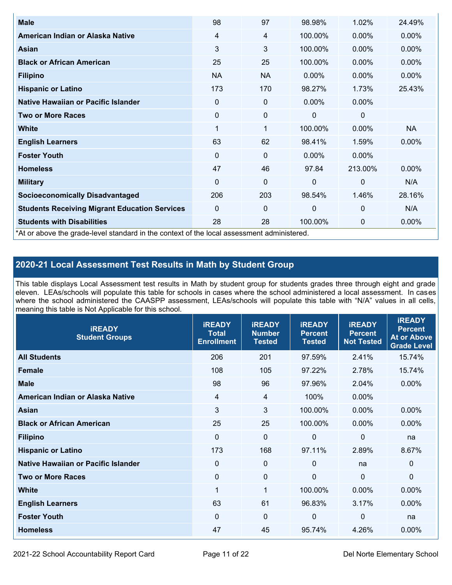| <b>Male</b>                                                                                | 98             | 97        | 98.98%       | 1.02%        | 24.49%    |
|--------------------------------------------------------------------------------------------|----------------|-----------|--------------|--------------|-----------|
| American Indian or Alaska Native                                                           | $\overline{4}$ | 4         | 100.00%      | $0.00\%$     | 0.00%     |
| Asian                                                                                      | 3              | 3         | 100.00%      | $0.00\%$     | $0.00\%$  |
| <b>Black or African American</b>                                                           | 25             | 25        | 100.00%      | $0.00\%$     | 0.00%     |
| <b>Filipino</b>                                                                            | <b>NA</b>      | <b>NA</b> | $0.00\%$     | $0.00\%$     | 0.00%     |
| <b>Hispanic or Latino</b>                                                                  | 173            | 170       | 98.27%       | 1.73%        | 25.43%    |
| Native Hawaiian or Pacific Islander                                                        | 0              | 0         | $0.00\%$     | $0.00\%$     |           |
| <b>Two or More Races</b>                                                                   | 0              | 0         | 0            | 0            |           |
| <b>White</b>                                                                               | 1              | 1         | 100.00%      | $0.00\%$     | <b>NA</b> |
| <b>English Learners</b>                                                                    | 63             | 62        | 98.41%       | 1.59%        | 0.00%     |
| <b>Foster Youth</b>                                                                        | 0              | 0         | $0.00\%$     | $0.00\%$     |           |
| <b>Homeless</b>                                                                            | 47             | 46        | 97.84        | 213.00%      | 0.00%     |
| <b>Military</b>                                                                            | $\Omega$       | 0         | $\mathbf{0}$ | $\mathbf{0}$ | N/A       |
| <b>Socioeconomically Disadvantaged</b>                                                     | 206            | 203       | 98.54%       | 1.46%        | 28.16%    |
| <b>Students Receiving Migrant Education Services</b>                                       | 0              | 0         | 0            | $\mathbf 0$  | N/A       |
| <b>Students with Disabilities</b>                                                          | 28             | 28        | 100.00%      | 0            | 0.00%     |
| *At or above the grade-level standard in the context of the local assessment administered. |                |           |              |              |           |

## **2020-21 Local Assessment Test Results in Math by Student Group**

This table displays Local Assessment test results in Math by student group for students grades three through eight and grade eleven. LEAs/schools will populate this table for schools in cases where the school administered a local assessment. In cases where the school administered the CAASPP assessment, LEAs/schools will populate this table with "N/A" values in all cells, meaning this table is Not Applicable for this school.

| <b>iREADY</b><br><b>Student Groups</b> | <b>IREADY</b><br><b>Total</b><br><b>Enrollment</b> | <b>iREADY</b><br><b>Number</b><br><b>Tested</b> | <b>iREADY</b><br><b>Percent</b><br><b>Tested</b> | <b>IREADY</b><br><b>Percent</b><br><b>Not Tested</b> | <b>IREADY</b><br><b>Percent</b><br><b>At or Above</b><br><b>Grade Level</b> |
|----------------------------------------|----------------------------------------------------|-------------------------------------------------|--------------------------------------------------|------------------------------------------------------|-----------------------------------------------------------------------------|
| <b>All Students</b>                    | 206                                                | 201                                             | 97.59%                                           | 2.41%                                                | 15.74%                                                                      |
| <b>Female</b>                          | 108                                                | 105                                             | 97.22%                                           | 2.78%                                                | 15.74%                                                                      |
| <b>Male</b>                            | 98                                                 | 96                                              | 97.96%                                           | 2.04%                                                | $0.00\%$                                                                    |
| American Indian or Alaska Native       | 4                                                  | 4                                               | 100%                                             | 0.00%                                                |                                                                             |
| Asian                                  | 3                                                  | 3                                               | 100.00%                                          | 0.00%                                                | 0.00%                                                                       |
| <b>Black or African American</b>       | 25                                                 | 25                                              | 100.00%                                          | 0.00%                                                | 0.00%                                                                       |
| <b>Filipino</b>                        | $\mathbf 0$                                        | $\mathbf 0$                                     | $\mathbf{0}$                                     | $\overline{0}$                                       | na                                                                          |
| <b>Hispanic or Latino</b>              | 173                                                | 168                                             | 97.11%                                           | 2.89%                                                | 8.67%                                                                       |
| Native Hawaiian or Pacific Islander    | $\mathbf 0$                                        | $\mathbf 0$                                     | $\mathbf{0}$                                     | na                                                   | $\mathbf 0$                                                                 |
| <b>Two or More Races</b>               | $\mathbf 0$                                        | $\mathbf 0$                                     | $\mathbf{0}$                                     | $\overline{0}$                                       | $\Omega$                                                                    |
| <b>White</b>                           | 1                                                  | $\mathbf{1}$                                    | 100.00%                                          | 0.00%                                                | 0.00%                                                                       |
| <b>English Learners</b>                | 63                                                 | 61                                              | 96.83%                                           | 3.17%                                                | $0.00\%$                                                                    |
| <b>Foster Youth</b>                    | 0                                                  | $\mathbf 0$                                     | 0                                                | 0                                                    | na                                                                          |
| <b>Homeless</b>                        | 47                                                 | 45                                              | 95.74%                                           | 4.26%                                                | 0.00%                                                                       |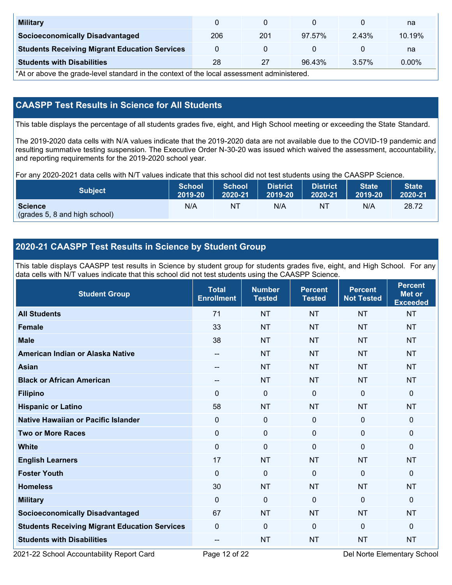| <b>Military</b>                                      |     |     |        |       | na       |
|------------------------------------------------------|-----|-----|--------|-------|----------|
| <b>Socioeconomically Disadvantaged</b>               | 206 | 201 | 97.57% | 2.43% | 10.19%   |
| <b>Students Receiving Migrant Education Services</b> |     |     |        |       | na       |
| <b>Students with Disabilities</b>                    | 28  | 27  | 96.43% | 3.57% | $0.00\%$ |

\*At or above the grade-level standard in the context of the local assessment administered.

## **CAASPP Test Results in Science for All Students**

This table displays the percentage of all students grades five, eight, and High School meeting or exceeding the State Standard.

The 2019-2020 data cells with N/A values indicate that the 2019-2020 data are not available due to the COVID-19 pandemic and resulting summative testing suspension. The Executive Order N-30-20 was issued which waived the assessment, accountability, and reporting requirements for the 2019-2020 school year.

For any 2020-2021 data cells with N/T values indicate that this school did not test students using the CAASPP Science.

| <b>Subject</b>                                  | <b>School</b> | <b>School</b> | <b>District</b> | <b>District</b> | <b>State</b> | <b>State</b> |
|-------------------------------------------------|---------------|---------------|-----------------|-----------------|--------------|--------------|
|                                                 | 2019-20       | 2020-21       | 2019-20         | 2020-21         | 2019-20      | 2020-21      |
| <b>Science</b><br>(grades 5, 8 and high school) | N/A           | ΝT            | N/A             | N1              | N/A          | 28.72        |

## **2020-21 CAASPP Test Results in Science by Student Group**

This table displays CAASPP test results in Science by student group for students grades five, eight, and High School. For any data cells with N/T values indicate that this school did not test students using the CAASPP Science.

| <b>Student Group</b>                                 | <b>Total</b><br><b>Enrollment</b> | <b>Number</b><br><b>Tested</b> | <b>Percent</b><br><b>Tested</b> | <b>Percent</b><br><b>Not Tested</b> | <b>Percent</b><br><b>Met or</b><br><b>Exceeded</b> |
|------------------------------------------------------|-----------------------------------|--------------------------------|---------------------------------|-------------------------------------|----------------------------------------------------|
| <b>All Students</b>                                  | 71                                | <b>NT</b>                      | <b>NT</b>                       | <b>NT</b>                           | <b>NT</b>                                          |
| <b>Female</b>                                        | 33                                | <b>NT</b>                      | <b>NT</b>                       | <b>NT</b>                           | <b>NT</b>                                          |
| <b>Male</b>                                          | 38                                | <b>NT</b>                      | <b>NT</b>                       | <b>NT</b>                           | <b>NT</b>                                          |
| American Indian or Alaska Native                     | $- -$                             | <b>NT</b>                      | <b>NT</b>                       | <b>NT</b>                           | <b>NT</b>                                          |
| <b>Asian</b>                                         | $- -$                             | <b>NT</b>                      | <b>NT</b>                       | <b>NT</b>                           | <b>NT</b>                                          |
| <b>Black or African American</b>                     | $\qquad \qquad -$                 | <b>NT</b>                      | <b>NT</b>                       | <b>NT</b>                           | <b>NT</b>                                          |
| <b>Filipino</b>                                      | $\Omega$                          | $\mathbf 0$                    | $\mathbf 0$                     | $\mathbf 0$                         | 0                                                  |
| <b>Hispanic or Latino</b>                            | 58                                | <b>NT</b>                      | <b>NT</b>                       | <b>NT</b>                           | <b>NT</b>                                          |
| <b>Native Hawaiian or Pacific Islander</b>           | $\Omega$                          | $\mathbf 0$                    | $\mathbf 0$                     | $\mathbf 0$                         | 0                                                  |
| <b>Two or More Races</b>                             | $\Omega$                          | $\boldsymbol{0}$               | $\mathbf{0}$                    | $\mathbf{0}$                        | 0                                                  |
| <b>White</b>                                         | $\mathbf 0$                       | $\pmb{0}$                      | $\mathbf 0$                     | $\mathbf{0}$                        | 0                                                  |
| <b>English Learners</b>                              | 17                                | <b>NT</b>                      | <b>NT</b>                       | <b>NT</b>                           | <b>NT</b>                                          |
| <b>Foster Youth</b>                                  | $\mathbf 0$                       | $\boldsymbol{0}$               | $\mathbf{0}$                    | $\mathbf{0}$                        | 0                                                  |
| <b>Homeless</b>                                      | 30                                | <b>NT</b>                      | <b>NT</b>                       | <b>NT</b>                           | <b>NT</b>                                          |
| <b>Military</b>                                      | $\mathbf{0}$                      | $\mathbf 0$                    | $\mathbf 0$                     | $\mathbf 0$                         | 0                                                  |
| <b>Socioeconomically Disadvantaged</b>               | 67                                | <b>NT</b>                      | <b>NT</b>                       | <b>NT</b>                           | <b>NT</b>                                          |
| <b>Students Receiving Migrant Education Services</b> | $\mathbf{0}$                      | $\mathbf 0$                    | $\mathbf 0$                     | $\mathbf{0}$                        | 0                                                  |
| <b>Students with Disabilities</b>                    | --                                | <b>NT</b>                      | <b>NT</b>                       | <b>NT</b>                           | <b>NT</b>                                          |

2021-22 School Accountability Report Card Page 12 of 22 Del Norte Elementary School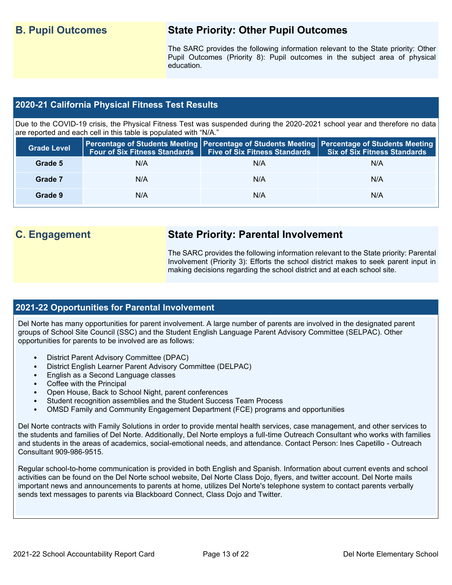## **B. Pupil Outcomes State Priority: Other Pupil Outcomes**

The SARC provides the following information relevant to the State priority: Other Pupil Outcomes (Priority 8): Pupil outcomes in the subject area of physical education.

### **2020-21 California Physical Fitness Test Results**

Due to the COVID-19 crisis, the Physical Fitness Test was suspended during the 2020-2021 school year and therefore no data are reported and each cell in this table is populated with "N/A."

| <b>Grade Level</b> | <b>Four of Six Fitness Standards</b> | <b>Five of Six Fitness Standards</b> | Percentage of Students Meeting   Percentage of Students Meeting   Percentage of Students Meeting<br><b>Six of Six Fitness Standards</b> |
|--------------------|--------------------------------------|--------------------------------------|-----------------------------------------------------------------------------------------------------------------------------------------|
| Grade 5            | N/A                                  | N/A                                  | N/A                                                                                                                                     |
| Grade 7            | N/A                                  | N/A                                  | N/A                                                                                                                                     |
| Grade 9            | N/A                                  | N/A                                  | N/A                                                                                                                                     |

## **C. Engagement State Priority: Parental Involvement**

The SARC provides the following information relevant to the State priority: Parental Involvement (Priority 3): Efforts the school district makes to seek parent input in making decisions regarding the school district and at each school site.

### **2021-22 Opportunities for Parental Involvement**

Del Norte has many opportunities for parent involvement. A large number of parents are involved in the designated parent groups of School Site Council (SSC) and the Student English Language Parent Advisory Committee (SELPAC). Other opportunities for parents to be involved are as follows:

- District Parent Advisory Committee (DPAC)
- District English Learner Parent Advisory Committee (DELPAC)
- English as a Second Language classes
- Coffee with the Principal
- Open House, Back to School Night, parent conferences
- Student recognition assemblies and the Student Success Team Process
- OMSD Family and Community Engagement Department (FCE) programs and opportunities

Del Norte contracts with Family Solutions in order to provide mental health services, case management, and other services to the students and families of Del Norte. Additionally, Del Norte employs a full-time Outreach Consultant who works with families and students in the areas of academics, social-emotional needs, and attendance. Contact Person: Ines Capetillo - Outreach Consultant 909-986-9515.

Regular school-to-home communication is provided in both English and Spanish. Information about current events and school activities can be found on the Del Norte school website, Del Norte Class Dojo, flyers, and twitter account. Del Norte mails important news and announcements to parents at home, utilizes Del Norte's telephone system to contact parents verbally sends text messages to parents via Blackboard Connect, Class Dojo and Twitter.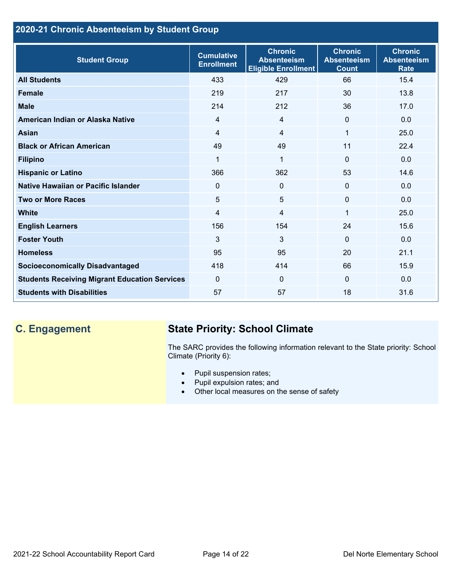## **2020-21 Chronic Absenteeism by Student Group**

| <b>Student Group</b>                                 | <b>Cumulative</b><br><b>Enrollment</b> | <b>Chronic</b><br><b>Absenteeism</b><br><b>Eligible Enrollment</b> | <b>Chronic</b><br><b>Absenteeism</b><br><b>Count</b> | <b>Chronic</b><br><b>Absenteeism</b><br><b>Rate</b> |
|------------------------------------------------------|----------------------------------------|--------------------------------------------------------------------|------------------------------------------------------|-----------------------------------------------------|
| <b>All Students</b>                                  | 433                                    | 429                                                                | 66                                                   | 15.4                                                |
| <b>Female</b>                                        | 219                                    | 217                                                                | 30                                                   | 13.8                                                |
| <b>Male</b>                                          | 214                                    | 212                                                                | 36                                                   | 17.0                                                |
| American Indian or Alaska Native                     | $\overline{4}$                         | $\overline{4}$                                                     | $\mathbf{0}$                                         | 0.0                                                 |
| <b>Asian</b>                                         | $\overline{4}$                         | $\overline{4}$                                                     | 1                                                    | 25.0                                                |
| <b>Black or African American</b>                     | 49                                     | 49                                                                 | 11                                                   | 22.4                                                |
| <b>Filipino</b>                                      | 1                                      | $\mathbf{1}$                                                       | $\mathbf{0}$                                         | 0.0                                                 |
| <b>Hispanic or Latino</b>                            | 366                                    | 362                                                                | 53                                                   | 14.6                                                |
| Native Hawaiian or Pacific Islander                  | 0                                      | $\mathbf 0$                                                        | $\mathbf 0$                                          | 0.0                                                 |
| <b>Two or More Races</b>                             | 5                                      | 5                                                                  | $\mathbf{0}$                                         | 0.0                                                 |
| <b>White</b>                                         | 4                                      | $\overline{4}$                                                     | 1                                                    | 25.0                                                |
| <b>English Learners</b>                              | 156                                    | 154                                                                | 24                                                   | 15.6                                                |
| <b>Foster Youth</b>                                  | 3                                      | 3                                                                  | $\Omega$                                             | 0.0                                                 |
| <b>Homeless</b>                                      | 95                                     | 95                                                                 | 20                                                   | 21.1                                                |
| <b>Socioeconomically Disadvantaged</b>               | 418                                    | 414                                                                | 66                                                   | 15.9                                                |
| <b>Students Receiving Migrant Education Services</b> | $\mathbf{0}$                           | $\Omega$                                                           | $\Omega$                                             | 0.0                                                 |
| <b>Students with Disabilities</b>                    | 57                                     | 57                                                                 | 18                                                   | 31.6                                                |

# **C. Engagement State Priority: School Climate**

The SARC provides the following information relevant to the State priority: School Climate (Priority 6):

- Pupil suspension rates;
- Pupil expulsion rates; and
- Other local measures on the sense of safety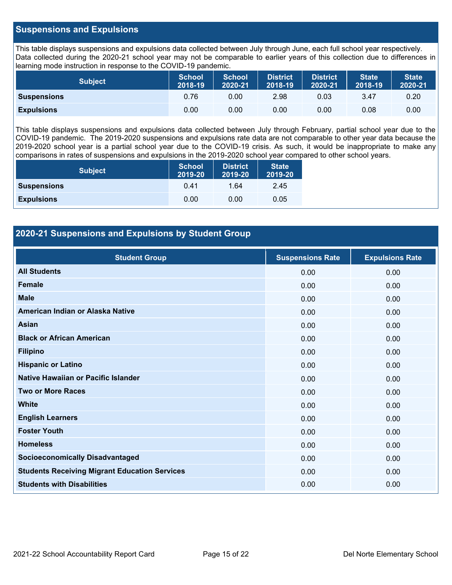### **Suspensions and Expulsions**

This table displays suspensions and expulsions data collected between July through June, each full school year respectively. Data collected during the 2020-21 school year may not be comparable to earlier years of this collection due to differences in learning mode instruction in response to the COVID-19 pandemic.

| <b>Subject</b>     | <b>School</b><br>2018-19 | <b>School</b><br>2020-21 | <b>District</b><br>2018-19 | <b>District</b><br>2020-21 | <b>State</b><br>2018-19 | <b>State</b><br>2020-21 |
|--------------------|--------------------------|--------------------------|----------------------------|----------------------------|-------------------------|-------------------------|
| <b>Suspensions</b> | 0.76                     | 0.00                     | 2.98                       | 0.03                       | 3.47                    | 0.20                    |
| <b>Expulsions</b>  | 0.00                     | 0.00                     | 0.00                       | 0.00                       | 0.08                    | 0.00                    |

This table displays suspensions and expulsions data collected between July through February, partial school year due to the COVID-19 pandemic. The 2019-2020 suspensions and expulsions rate data are not comparable to other year data because the 2019-2020 school year is a partial school year due to the COVID-19 crisis. As such, it would be inappropriate to make any comparisons in rates of suspensions and expulsions in the 2019-2020 school year compared to other school years.

| <b>Subject</b>     | <b>School</b><br>2019-20 | <b>District</b><br>2019-20 | <b>State</b><br>2019-20 |
|--------------------|--------------------------|----------------------------|-------------------------|
| <b>Suspensions</b> | 0.41                     | 1.64                       | 2.45                    |
| <b>Expulsions</b>  | 0.00                     | 0.00                       | 0.05                    |

### **2020-21 Suspensions and Expulsions by Student Group**

| <b>Student Group</b>                                 | <b>Suspensions Rate</b> | <b>Expulsions Rate</b> |
|------------------------------------------------------|-------------------------|------------------------|
| <b>All Students</b>                                  | 0.00                    | 0.00                   |
| <b>Female</b>                                        | 0.00                    | 0.00                   |
| <b>Male</b>                                          | 0.00                    | 0.00                   |
| American Indian or Alaska Native                     | 0.00                    | 0.00                   |
| Asian                                                | 0.00                    | 0.00                   |
| <b>Black or African American</b>                     | 0.00                    | 0.00                   |
| <b>Filipino</b>                                      | 0.00                    | 0.00                   |
| <b>Hispanic or Latino</b>                            | 0.00                    | 0.00                   |
| Native Hawaiian or Pacific Islander                  | 0.00                    | 0.00                   |
| <b>Two or More Races</b>                             | 0.00                    | 0.00                   |
| <b>White</b>                                         | 0.00                    | 0.00                   |
| <b>English Learners</b>                              | 0.00                    | 0.00                   |
| <b>Foster Youth</b>                                  | 0.00                    | 0.00                   |
| <b>Homeless</b>                                      | 0.00                    | 0.00                   |
| <b>Socioeconomically Disadvantaged</b>               | 0.00                    | 0.00                   |
| <b>Students Receiving Migrant Education Services</b> | 0.00                    | 0.00                   |
| <b>Students with Disabilities</b>                    | 0.00                    | 0.00                   |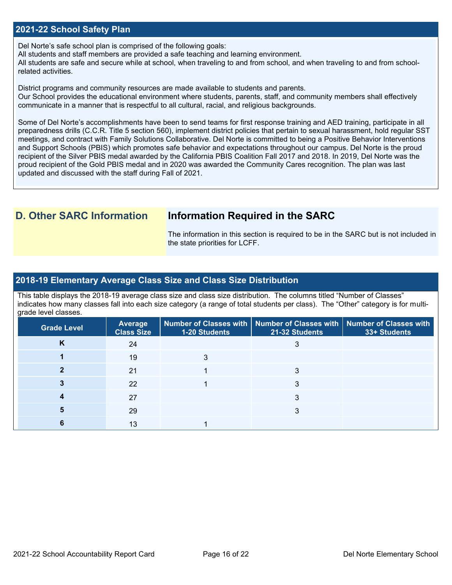### **2021-22 School Safety Plan**

Del Norte's safe school plan is comprised of the following goals:

All students and staff members are provided a safe teaching and learning environment.

All students are safe and secure while at school, when traveling to and from school, and when traveling to and from schoolrelated activities.

District programs and community resources are made available to students and parents.

Our School provides the educational environment where students, parents, staff, and community members shall effectively communicate in a manner that is respectful to all cultural, racial, and religious backgrounds.

Some of Del Norte's accomplishments have been to send teams for first response training and AED training, participate in all preparedness drills (C.C.R. Title 5 section 560), implement district policies that pertain to sexual harassment, hold regular SST meetings, and contract with Family Solutions Collaborative. Del Norte is committed to being a Positive Behavior Interventions and Support Schools (PBIS) which promotes safe behavior and expectations throughout our campus. Del Norte is the proud recipient of the Silver PBIS medal awarded by the California PBIS Coalition Fall 2017 and 2018. In 2019, Del Norte was the proud recipient of the Gold PBIS medal and in 2020 was awarded the Community Cares recognition. The plan was last updated and discussed with the staff during Fall of 2021.

## **D. Other SARC Information Information Required in the SARC**

The information in this section is required to be in the SARC but is not included in the state priorities for LCFF.

### **2018-19 Elementary Average Class Size and Class Size Distribution**

This table displays the 2018-19 average class size and class size distribution. The columns titled "Number of Classes" indicates how many classes fall into each size category (a range of total students per class). The "Other" category is for multigrade level classes.

| <b>Grade Level</b> | Average<br><b>Class Size</b> | 1-20 Students | Number of Classes with   Number of Classes with  <br>21-32 Students | <b>Number of Classes with</b><br>33+ Students |
|--------------------|------------------------------|---------------|---------------------------------------------------------------------|-----------------------------------------------|
| Κ                  | 24                           |               |                                                                     |                                               |
|                    | 19                           |               |                                                                     |                                               |
|                    | 21                           |               |                                                                     |                                               |
|                    | 22                           |               |                                                                     |                                               |
|                    | 27                           |               |                                                                     |                                               |
|                    | 29                           |               | 3                                                                   |                                               |
|                    | 13                           |               |                                                                     |                                               |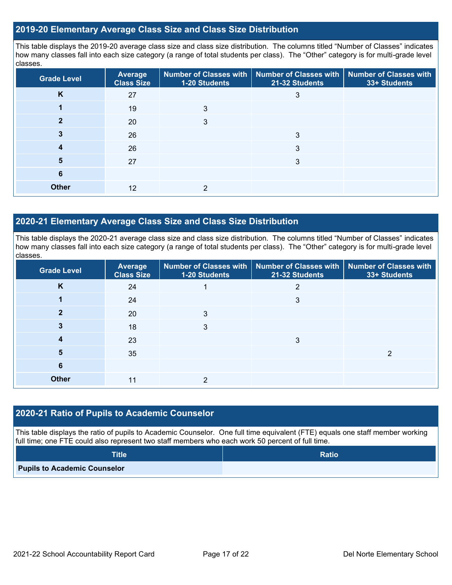### **2019-20 Elementary Average Class Size and Class Size Distribution**

This table displays the 2019-20 average class size and class size distribution. The columns titled "Number of Classes" indicates how many classes fall into each size category (a range of total students per class). The "Other" category is for multi-grade level classes.

| <b>Grade Level</b> | Average<br><b>Class Size</b> | 1-20 Students | Number of Classes with   Number of Classes with  <br>21-32 Students | <b>Number of Classes with</b><br>33+ Students |
|--------------------|------------------------------|---------------|---------------------------------------------------------------------|-----------------------------------------------|
| K                  | 27                           |               | 3                                                                   |                                               |
|                    | 19                           | 3             |                                                                     |                                               |
|                    | 20                           | 3             |                                                                     |                                               |
| 3                  | 26                           |               | 3                                                                   |                                               |
| 4                  | 26                           |               | 3                                                                   |                                               |
| 5                  | 27                           |               | 3                                                                   |                                               |
| 6                  |                              |               |                                                                     |                                               |
| <b>Other</b>       | 12                           | C             |                                                                     |                                               |

### **2020-21 Elementary Average Class Size and Class Size Distribution**

This table displays the 2020-21 average class size and class size distribution. The columns titled "Number of Classes" indicates how many classes fall into each size category (a range of total students per class). The "Other" category is for multi-grade level classes.

| <b>Grade Level</b> | <b>Average</b><br><b>Class Size</b> | 1-20 Students | Number of Classes with   Number of Classes with   Number of Classes with<br>21-32 Students | 33+ Students |
|--------------------|-------------------------------------|---------------|--------------------------------------------------------------------------------------------|--------------|
| K                  | 24                                  |               | 2                                                                                          |              |
|                    | 24                                  |               | 3                                                                                          |              |
| 2                  | 20                                  | 3             |                                                                                            |              |
| 3                  | 18                                  | 3             |                                                                                            |              |
|                    | 23                                  |               | 3                                                                                          |              |
| 5                  | 35                                  |               |                                                                                            | ົ            |
| 6                  |                                     |               |                                                                                            |              |
| <b>Other</b>       | 11                                  | っ             |                                                                                            |              |

### **2020-21 Ratio of Pupils to Academic Counselor**

This table displays the ratio of pupils to Academic Counselor. One full time equivalent (FTE) equals one staff member working full time; one FTE could also represent two staff members who each work 50 percent of full time.

| <b>Title</b>                        | <b>Ratio</b> |
|-------------------------------------|--------------|
| <b>Pupils to Academic Counselor</b> |              |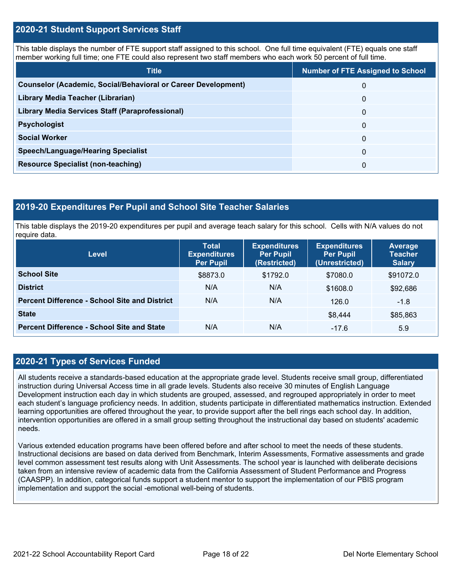### **2020-21 Student Support Services Staff**

This table displays the number of FTE support staff assigned to this school. One full time equivalent (FTE) equals one staff member working full time; one FTE could also represent two staff members who each work 50 percent of full time.

| <b>Title</b>                                                         | <b>Number of FTE Assigned to School</b> |
|----------------------------------------------------------------------|-----------------------------------------|
| <b>Counselor (Academic, Social/Behavioral or Career Development)</b> | 0                                       |
| Library Media Teacher (Librarian)                                    | 0                                       |
| Library Media Services Staff (Paraprofessional)                      | 0                                       |
| <b>Psychologist</b>                                                  | 0                                       |
| <b>Social Worker</b>                                                 | $\Omega$                                |
| <b>Speech/Language/Hearing Specialist</b>                            | 0                                       |
| <b>Resource Specialist (non-teaching)</b>                            | 0                                       |

### **2019-20 Expenditures Per Pupil and School Site Teacher Salaries**

This table displays the 2019-20 expenditures per pupil and average teach salary for this school. Cells with N/A values do not require data.

| Level                                                | <b>Total</b><br><b>Expenditures</b><br><b>Per Pupil</b> | <b>Expenditures</b><br><b>Per Pupil</b><br>(Restricted) | <b>Expenditures</b><br><b>Per Pupil</b><br>(Unrestricted) | <b>Average</b><br><b>Teacher</b><br><b>Salary</b> |
|------------------------------------------------------|---------------------------------------------------------|---------------------------------------------------------|-----------------------------------------------------------|---------------------------------------------------|
| <b>School Site</b>                                   | \$8873.0                                                | \$1792.0                                                | \$7080.0                                                  | \$91072.0                                         |
| <b>District</b>                                      | N/A                                                     | N/A                                                     | \$1608.0                                                  | \$92,686                                          |
| <b>Percent Difference - School Site and District</b> | N/A                                                     | N/A                                                     | 126.0                                                     | $-1.8$                                            |
| <b>State</b>                                         |                                                         |                                                         | \$8,444                                                   | \$85,863                                          |
| <b>Percent Difference - School Site and State</b>    | N/A                                                     | N/A                                                     | $-17.6$                                                   | 5.9                                               |

### **2020-21 Types of Services Funded**

All students receive a standards-based education at the appropriate grade level. Students receive small group, differentiated instruction during Universal Access time in all grade levels. Students also receive 30 minutes of English Language Development instruction each day in which students are grouped, assessed, and regrouped appropriately in order to meet each student's language proficiency needs. In addition, students participate in differentiated mathematics instruction. Extended learning opportunities are offered throughout the year, to provide support after the bell rings each school day. In addition, intervention opportunities are offered in a small group setting throughout the instructional day based on students' academic needs.

Various extended education programs have been offered before and after school to meet the needs of these students. Instructional decisions are based on data derived from Benchmark, Interim Assessments, Formative assessments and grade level common assessment test results along with Unit Assessments. The school year is launched with deliberate decisions taken from an intensive review of academic data from the California Assessment of Student Performance and Progress (CAASPP). In addition, categorical funds support a student mentor to support the implementation of our PBIS program implementation and support the social -emotional well-being of students.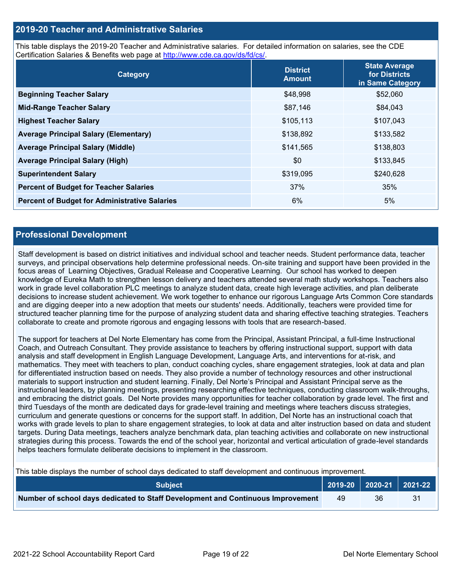### **2019-20 Teacher and Administrative Salaries**

This table displays the 2019-20 Teacher and Administrative salaries. For detailed information on salaries, see the CDE Certification Salaries & Benefits web page at [http://www.cde.ca.gov/ds/fd/cs/.](http://www.cde.ca.gov/ds/fd/cs/)

| Category                                             | <b>District</b><br><b>Amount</b> | <b>State Average</b><br>for Districts<br>in Same Category |
|------------------------------------------------------|----------------------------------|-----------------------------------------------------------|
| <b>Beginning Teacher Salary</b>                      | \$48,998                         | \$52,060                                                  |
| <b>Mid-Range Teacher Salary</b>                      | \$87,146                         | \$84,043                                                  |
| <b>Highest Teacher Salary</b>                        | \$105,113                        | \$107,043                                                 |
| <b>Average Principal Salary (Elementary)</b>         | \$138,892                        | \$133,582                                                 |
| <b>Average Principal Salary (Middle)</b>             | \$141,565                        | \$138,803                                                 |
| <b>Average Principal Salary (High)</b>               | \$0                              | \$133,845                                                 |
| <b>Superintendent Salary</b>                         | \$319,095                        | \$240,628                                                 |
| <b>Percent of Budget for Teacher Salaries</b>        | 37%                              | 35%                                                       |
| <b>Percent of Budget for Administrative Salaries</b> | 6%                               | 5%                                                        |

### **Professional Development**

Staff development is based on district initiatives and individual school and teacher needs. Student performance data, teacher surveys, and principal observations help determine professional needs. On-site training and support have been provided in the focus areas of Learning Objectives, Gradual Release and Cooperative Learning. Our school has worked to deepen knowledge of Eureka Math to strengthen lesson delivery and teachers attended several math study workshops. Teachers also work in grade level collaboration PLC meetings to analyze student data, create high leverage activities, and plan deliberate decisions to increase student achievement. We work together to enhance our rigorous Language Arts Common Core standards and are digging deeper into a new adoption that meets our students' needs. Additionally, teachers were provided time for structured teacher planning time for the purpose of analyzing student data and sharing effective teaching strategies. Teachers collaborate to create and promote rigorous and engaging lessons with tools that are research-based.

The support for teachers at Del Norte Elementary has come from the Principal, Assistant Principal, a full-time Instructional Coach, and Outreach Consultant. They provide assistance to teachers by offering instructional support, support with data analysis and staff development in English Language Development, Language Arts, and interventions for at-risk, and mathematics. They meet with teachers to plan, conduct coaching cycles, share engagement strategies, look at data and plan for differentiated instruction based on needs. They also provide a number of technology resources and other instructional materials to support instruction and student learning. Finally, Del Norte's Principal and Assistant Principal serve as the instructional leaders, by planning meetings, presenting researching effective techniques, conducting classroom walk-throughs, and embracing the district goals. Del Norte provides many opportunities for teacher collaboration by grade level. The first and third Tuesdays of the month are dedicated days for grade-level training and meetings where teachers discuss strategies, curriculum and generate questions or concerns for the support staff. In addition, Del Norte has an instructional coach that works with grade levels to plan to share engagement strategies, to look at data and alter instruction based on data and student targets. During Data meetings, teachers analyze benchmark data, plan teaching activities and collaborate on new instructional strategies during this process. Towards the end of the school year, horizontal and vertical articulation of grade-level standards helps teachers formulate deliberate decisions to implement in the classroom.

This table displays the number of school days dedicated to staff development and continuous improvement.

| <b>Subject</b>                                                                  |    |    | $\vert$ 2019-20 $\vert$ 2020-21 $\vert$ 2021-22 $\vert$ |
|---------------------------------------------------------------------------------|----|----|---------------------------------------------------------|
| Number of school days dedicated to Staff Development and Continuous Improvement | 49 | 36 |                                                         |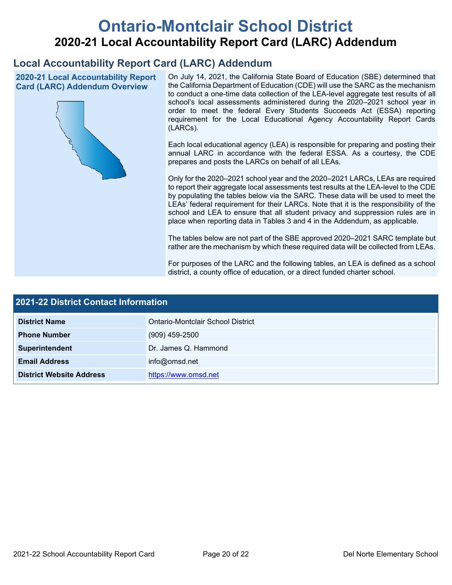# **Ontario-Montclair School District 2020-21 Local Accountability Report Card (LARC) Addendum**

## **Local Accountability Report Card (LARC) Addendum**

**2020-21 Local Accountability Report Card (LARC) Addendum Overview**



On July 14, 2021, the California State Board of Education (SBE) determined that the California Department of Education (CDE) will use the SARC as the mechanism to conduct a one-time data collection of the LEA-level aggregate test results of all school's local assessments administered during the 2020–2021 school year in order to meet the federal Every Students Succeeds Act (ESSA) reporting requirement for the Local Educational Agency Accountability Report Cards (LARCs).

Each local educational agency (LEA) is responsible for preparing and posting their annual LARC in accordance with the federal ESSA. As a courtesy, the CDE prepares and posts the LARCs on behalf of all LEAs.

Only for the 2020–2021 school year and the 2020–2021 LARCs, LEAs are required to report their aggregate local assessments test results at the LEA-level to the CDE by populating the tables below via the SARC. These data will be used to meet the LEAs' federal requirement for their LARCs. Note that it is the responsibility of the school and LEA to ensure that all student privacy and suppression rules are in place when reporting data in Tables 3 and 4 in the Addendum, as applicable.

The tables below are not part of the SBE approved 2020–2021 SARC template but rather are the mechanism by which these required data will be collected from LEAs.

For purposes of the LARC and the following tables, an LEA is defined as a school district, a county office of education, or a direct funded charter school.

| 2021-22 District Contact Information |                                   |  |
|--------------------------------------|-----------------------------------|--|
| <b>District Name</b>                 | Ontario-Montclair School District |  |
| <b>Phone Number</b>                  | $(909)$ 459-2500                  |  |
| Superintendent                       | Dr. James Q. Hammond              |  |
| <b>Email Address</b>                 | info@omsd.net                     |  |
| <b>District Website Address</b>      | https://www.omsd.net              |  |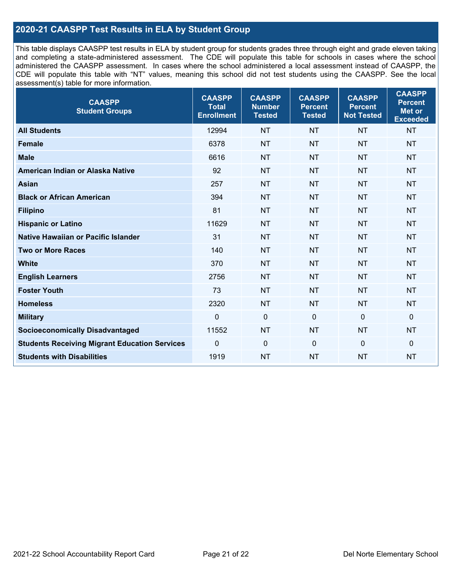## **2020-21 CAASPP Test Results in ELA by Student Group**

This table displays CAASPP test results in ELA by student group for students grades three through eight and grade eleven taking and completing a state-administered assessment. The CDE will populate this table for schools in cases where the school administered the CAASPP assessment. In cases where the school administered a local assessment instead of CAASPP, the CDE will populate this table with "NT" values, meaning this school did not test students using the CAASPP. See the local assessment(s) table for more information.

| <b>CAASPP</b><br><b>Student Groups</b>               | <b>CAASPP</b><br><b>Total</b><br><b>Enrollment</b> | <b>CAASPP</b><br><b>Number</b><br><b>Tested</b> | <b>CAASPP</b><br><b>Percent</b><br><b>Tested</b> | <b>CAASPP</b><br><b>Percent</b><br><b>Not Tested</b> | <b>CAASPP</b><br><b>Percent</b><br>Met or<br><b>Exceeded</b> |
|------------------------------------------------------|----------------------------------------------------|-------------------------------------------------|--------------------------------------------------|------------------------------------------------------|--------------------------------------------------------------|
| <b>All Students</b>                                  | 12994                                              | <b>NT</b>                                       | <b>NT</b>                                        | <b>NT</b>                                            | <b>NT</b>                                                    |
| <b>Female</b>                                        | 6378                                               | <b>NT</b>                                       | <b>NT</b>                                        | <b>NT</b>                                            | <b>NT</b>                                                    |
| <b>Male</b>                                          | 6616                                               | <b>NT</b>                                       | <b>NT</b>                                        | <b>NT</b>                                            | <b>NT</b>                                                    |
| American Indian or Alaska Native                     | 92                                                 | <b>NT</b>                                       | <b>NT</b>                                        | <b>NT</b>                                            | <b>NT</b>                                                    |
| <b>Asian</b>                                         | 257                                                | <b>NT</b>                                       | <b>NT</b>                                        | <b>NT</b>                                            | <b>NT</b>                                                    |
| <b>Black or African American</b>                     | 394                                                | <b>NT</b>                                       | <b>NT</b>                                        | <b>NT</b>                                            | <b>NT</b>                                                    |
| <b>Filipino</b>                                      | 81                                                 | <b>NT</b>                                       | <b>NT</b>                                        | <b>NT</b>                                            | <b>NT</b>                                                    |
| <b>Hispanic or Latino</b>                            | 11629                                              | <b>NT</b>                                       | <b>NT</b>                                        | <b>NT</b>                                            | <b>NT</b>                                                    |
| Native Hawaiian or Pacific Islander                  | 31                                                 | <b>NT</b>                                       | <b>NT</b>                                        | <b>NT</b>                                            | <b>NT</b>                                                    |
| <b>Two or More Races</b>                             | 140                                                | <b>NT</b>                                       | <b>NT</b>                                        | <b>NT</b>                                            | <b>NT</b>                                                    |
| <b>White</b>                                         | 370                                                | <b>NT</b>                                       | <b>NT</b>                                        | <b>NT</b>                                            | <b>NT</b>                                                    |
| <b>English Learners</b>                              | 2756                                               | <b>NT</b>                                       | <b>NT</b>                                        | <b>NT</b>                                            | <b>NT</b>                                                    |
| <b>Foster Youth</b>                                  | 73                                                 | <b>NT</b>                                       | <b>NT</b>                                        | <b>NT</b>                                            | <b>NT</b>                                                    |
| <b>Homeless</b>                                      | 2320                                               | <b>NT</b>                                       | <b>NT</b>                                        | <b>NT</b>                                            | <b>NT</b>                                                    |
| <b>Military</b>                                      | $\mathbf 0$                                        | $\mathbf 0$                                     | $\mathbf 0$                                      | $\mathbf 0$                                          | 0                                                            |
| <b>Socioeconomically Disadvantaged</b>               | 11552                                              | <b>NT</b>                                       | <b>NT</b>                                        | <b>NT</b>                                            | <b>NT</b>                                                    |
| <b>Students Receiving Migrant Education Services</b> | $\Omega$                                           | $\mathbf 0$                                     | $\mathbf{0}$                                     | $\Omega$                                             | 0                                                            |
| <b>Students with Disabilities</b>                    | 1919                                               | <b>NT</b>                                       | <b>NT</b>                                        | <b>NT</b>                                            | <b>NT</b>                                                    |